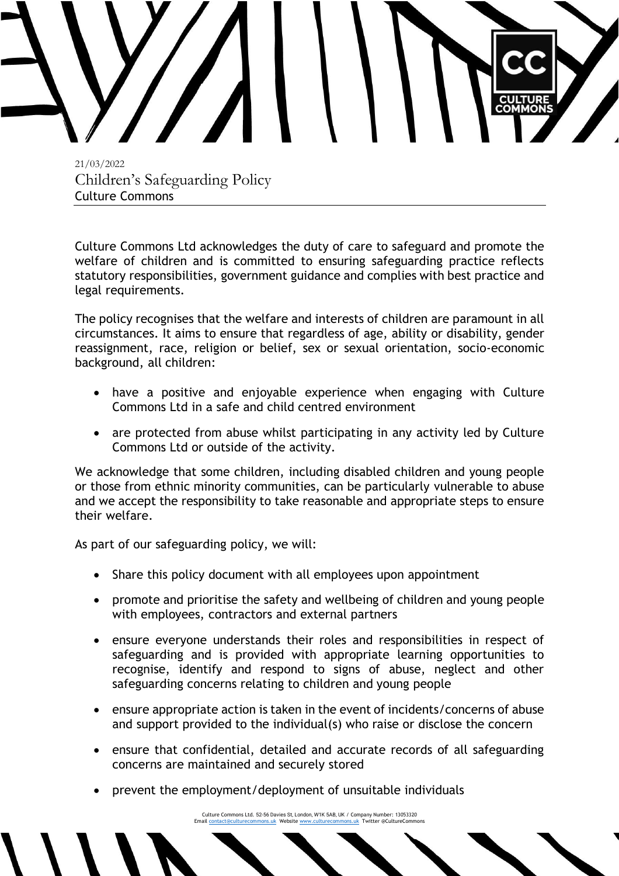

21/03/2022 Children's Safeguarding Policy Culture Commons

Culture Commons Ltd acknowledges the duty of care to safeguard and promote the welfare of children and is committed to ensuring safeguarding practice reflects statutory responsibilities, government guidance and complies with best practice and legal requirements.

The policy recognises that the welfare and interests of children are paramount in all circumstances. It aims to ensure that regardless of age, ability or disability, gender reassignment, race, religion or belief, sex or sexual orientation, socio-economic background, all children:

- have a positive and enjoyable experience when engaging with Culture Commons Ltd in a safe and child centred environment
- are protected from abuse whilst participating in any activity led by Culture Commons Ltd or outside of the activity.

We acknowledge that some children, including disabled children and young people or those from ethnic minority communities, can be particularly vulnerable to abuse and we accept the responsibility to take reasonable and appropriate steps to ensure their welfare.

As part of our safeguarding policy, we will:

- Share this policy document with all employees upon appointment
- promote and prioritise the safety and wellbeing of children and young people with employees, contractors and external partners
- ensure everyone understands their roles and responsibilities in respect of safeguarding and is provided with appropriate learning opportunities to recognise, identify and respond to signs of abuse, neglect and other safeguarding concerns relating to children and young people
- ensure appropriate action is taken in the event of incidents/concerns of abuse and support provided to the individual(s) who raise or disclose the concern
- ensure that confidential, detailed and accurate records of all safeguarding concerns are maintained and securely stored
- prevent the employment/deployment of unsuitable individuals

Culture Commons Ltd. 52-56 Davies St, London, W1K 5AB, UK / Company Number: 13053320 Emai[l contact@culturecommons.uk](mailto:contact@culturecommons.uk) Websit[e www.culturecommons.uk](http://www.culturecommons.uk/) Twitter @CultureCommons